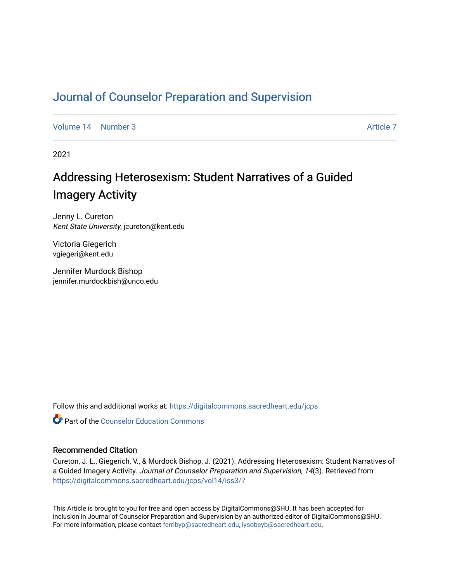# [Journal of Counselor Preparation and Supervision](https://digitalcommons.sacredheart.edu/jcps)

[Volume 14](https://digitalcommons.sacredheart.edu/jcps/vol14) | [Number 3](https://digitalcommons.sacredheart.edu/jcps/vol14/iss3) [Article 7](https://digitalcommons.sacredheart.edu/jcps/vol14/iss3/7) Article 7 Article 7 Article 7 Article 7 Article 7 Article 7 Article 7

2021

# Addressing Heterosexism: Student Narratives of a Guided Imagery Activity

Jenny L. Cureton Kent State University, jcureton@kent.edu

Victoria Giegerich vgiegeri@kent.edu

Jennifer Murdock Bishop jennifer.murdockbish@unco.edu

Follow this and additional works at: [https://digitalcommons.sacredheart.edu/jcps](https://digitalcommons.sacredheart.edu/jcps?utm_source=digitalcommons.sacredheart.edu%2Fjcps%2Fvol14%2Fiss3%2F7&utm_medium=PDF&utm_campaign=PDFCoverPages) 

**C** Part of the Counselor Education Commons

#### Recommended Citation

Cureton, J. L., Giegerich, V., & Murdock Bishop, J. (2021). Addressing Heterosexism: Student Narratives of a Guided Imagery Activity. Journal of Counselor Preparation and Supervision, 14(3). Retrieved from [https://digitalcommons.sacredheart.edu/jcps/vol14/iss3/7](https://digitalcommons.sacredheart.edu/jcps/vol14/iss3/7?utm_source=digitalcommons.sacredheart.edu%2Fjcps%2Fvol14%2Fiss3%2F7&utm_medium=PDF&utm_campaign=PDFCoverPages)

This Article is brought to you for free and open access by DigitalCommons@SHU. It has been accepted for inclusion in Journal of Counselor Preparation and Supervision by an authorized editor of DigitalCommons@SHU. For more information, please contact [ferribyp@sacredheart.edu, lysobeyb@sacredheart.edu.](mailto:ferribyp@sacredheart.edu,%20lysobeyb@sacredheart.edu)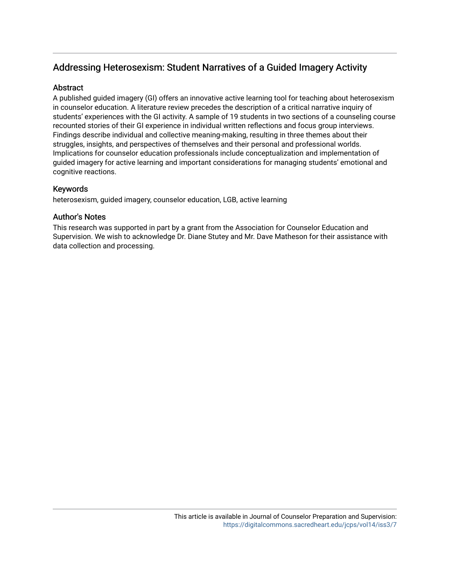# Addressing Heterosexism: Student Narratives of a Guided Imagery Activity

# **Abstract**

A published guided imagery (GI) offers an innovative active learning tool for teaching about heterosexism in counselor education. A literature review precedes the description of a critical narrative inquiry of students' experiences with the GI activity. A sample of 19 students in two sections of a counseling course recounted stories of their GI experience in individual written reflections and focus group interviews. Findings describe individual and collective meaning-making, resulting in three themes about their struggles, insights, and perspectives of themselves and their personal and professional worlds. Implications for counselor education professionals include conceptualization and implementation of guided imagery for active learning and important considerations for managing students' emotional and cognitive reactions.

# Keywords

heterosexism, guided imagery, counselor education, LGB, active learning

# Author's Notes

This research was supported in part by a grant from the Association for Counselor Education and Supervision. We wish to acknowledge Dr. Diane Stutey and Mr. Dave Matheson for their assistance with data collection and processing.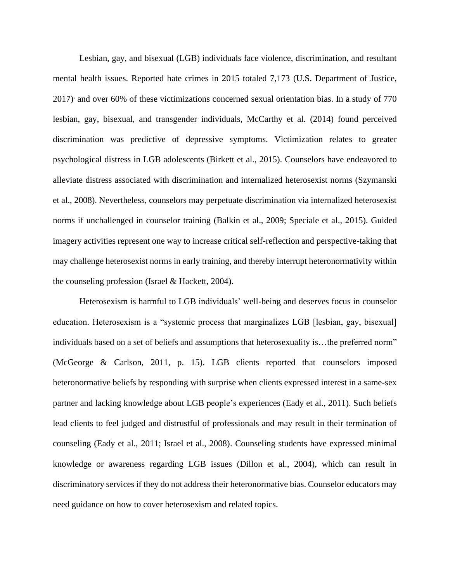Lesbian, gay, and bisexual (LGB) individuals face violence, discrimination, and resultant mental health issues. Reported hate crimes in 2015 totaled 7,173 (U.S. Department of Justice, 2017) and over 60% of these victimizations concerned sexual orientation bias. In a study of 770 lesbian, gay, bisexual, and transgender individuals, McCarthy et al. (2014) found perceived discrimination was predictive of depressive symptoms. Victimization relates to greater psychological distress in LGB adolescents (Birkett et al., 2015). Counselors have endeavored to alleviate distress associated with discrimination and internalized heterosexist norms (Szymanski et al., 2008). Nevertheless, counselors may perpetuate discrimination via internalized heterosexist norms if unchallenged in counselor training (Balkin et al., 2009; Speciale et al., 2015). Guided imagery activities represent one way to increase critical self-reflection and perspective-taking that may challenge heterosexist norms in early training, and thereby interrupt heteronormativity within the counseling profession (Israel & Hackett, 2004).

Heterosexism is harmful to LGB individuals' well-being and deserves focus in counselor education. Heterosexism is a "systemic process that marginalizes LGB [lesbian, gay, bisexual] individuals based on a set of beliefs and assumptions that heterosexuality is…the preferred norm" (McGeorge & Carlson, 2011, p. 15). LGB clients reported that counselors imposed heteronormative beliefs by responding with surprise when clients expressed interest in a same-sex partner and lacking knowledge about LGB people's experiences (Eady et al., 2011). Such beliefs lead clients to feel judged and distrustful of professionals and may result in their termination of counseling (Eady et al., 2011; Israel et al., 2008). Counseling students have expressed minimal knowledge or awareness regarding LGB issues (Dillon et al., 2004), which can result in discriminatory services if they do not address their heteronormative bias. Counselor educators may need guidance on how to cover heterosexism and related topics.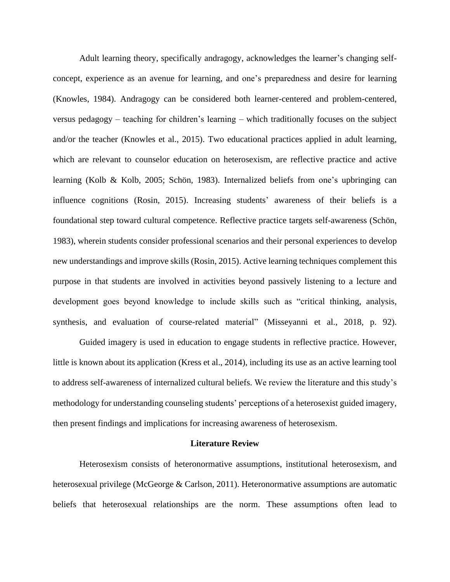Adult learning theory, specifically andragogy, acknowledges the learner's changing selfconcept, experience as an avenue for learning, and one's preparedness and desire for learning (Knowles, 1984). Andragogy can be considered both learner-centered and problem-centered, versus pedagogy – teaching for children's learning – which traditionally focuses on the subject and/or the teacher (Knowles et al., 2015). Two educational practices applied in adult learning, which are relevant to counselor education on heterosexism, are reflective practice and active learning (Kolb & Kolb, 2005; Schön, 1983). Internalized beliefs from one's upbringing can influence cognitions (Rosin, 2015). Increasing students' awareness of their beliefs is a foundational step toward cultural competence. Reflective practice targets self-awareness (Schön, 1983), wherein students consider professional scenarios and their personal experiences to develop new understandings and improve skills (Rosin, 2015). Active learning techniques complement this purpose in that students are involved in activities beyond passively listening to a lecture and development goes beyond knowledge to include skills such as "critical thinking, analysis, synthesis, and evaluation of course-related material" (Misseyanni et al., 2018, p. 92).

Guided imagery is used in education to engage students in reflective practice. However, little is known about its application (Kress et al., 2014), including its use as an active learning tool to address self-awareness of internalized cultural beliefs. We review the literature and this study's methodology for understanding counseling students' perceptions of a heterosexist guided imagery, then present findings and implications for increasing awareness of heterosexism.

#### **Literature Review**

Heterosexism consists of heteronormative assumptions, institutional heterosexism, and heterosexual privilege (McGeorge & Carlson, 2011). Heteronormative assumptions are automatic beliefs that heterosexual relationships are the norm. These assumptions often lead to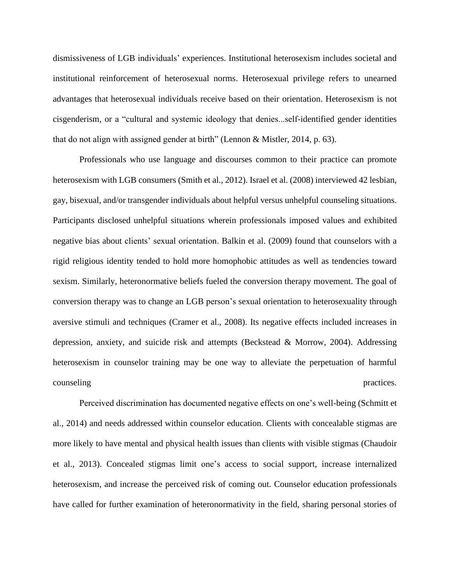dismissiveness of LGB individuals' experiences. Institutional heterosexism includes societal and institutional reinforcement of heterosexual norms. Heterosexual privilege refers to unearned advantages that heterosexual individuals receive based on their orientation. Heterosexism is not cisgenderism, or a "cultural and systemic ideology that denies...self-identified gender identities that do not align with assigned gender at birth" (Lennon & Mistler, 2014, p. 63).

Professionals who use language and discourses common to their practice can promote heterosexism with LGB consumers (Smith et al., 2012). Israel et al. (2008) interviewed 42 lesbian, gay, bisexual, and/or transgender individuals about helpful versus unhelpful counseling situations. Participants disclosed unhelpful situations wherein professionals imposed values and exhibited negative bias about clients' sexual orientation. Balkin et al. (2009) found that counselors with a rigid religious identity tended to hold more homophobic attitudes as well as tendencies toward sexism. Similarly, heteronormative beliefs fueled the conversion therapy movement. The goal of conversion therapy was to change an LGB person's sexual orientation to heterosexuality through aversive stimuli and techniques (Cramer et al., 2008). Its negative effects included increases in depression, anxiety, and suicide risk and attempts (Beckstead & Morrow, 2004). Addressing heterosexism in counselor training may be one way to alleviate the perpetuation of harmful counseling practices.

Perceived discrimination has documented negative effects on one's well-being (Schmitt et al., 2014) and needs addressed within counselor education. Clients with concealable stigmas are more likely to have mental and physical health issues than clients with visible stigmas (Chaudoir et al., 2013). Concealed stigmas limit one's access to social support, increase internalized heterosexism, and increase the perceived risk of coming out. Counselor education professionals have called for further examination of heteronormativity in the field, sharing personal stories of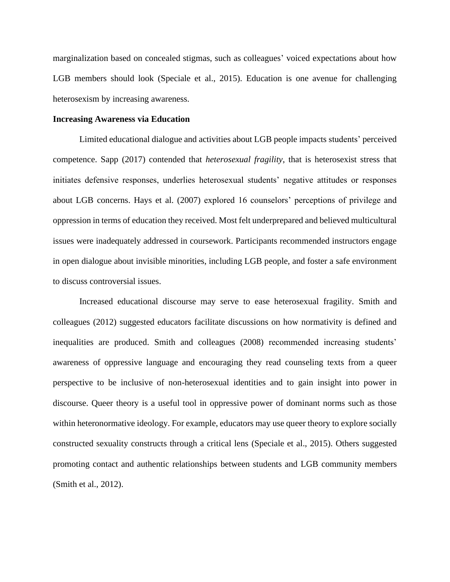marginalization based on concealed stigmas, such as colleagues' voiced expectations about how LGB members should look (Speciale et al., 2015). Education is one avenue for challenging heterosexism by increasing awareness.

#### **Increasing Awareness via Education**

Limited educational dialogue and activities about LGB people impacts students' perceived competence. Sapp (2017) contended that *heterosexual fragility*, that is heterosexist stress that initiates defensive responses, underlies heterosexual students' negative attitudes or responses about LGB concerns. Hays et al. (2007) explored 16 counselors' perceptions of privilege and oppression in terms of education they received. Most felt underprepared and believed multicultural issues were inadequately addressed in coursework. Participants recommended instructors engage in open dialogue about invisible minorities, including LGB people, and foster a safe environment to discuss controversial issues.

Increased educational discourse may serve to ease heterosexual fragility. Smith and colleagues (2012) suggested educators facilitate discussions on how normativity is defined and inequalities are produced. Smith and colleagues (2008) recommended increasing students' awareness of oppressive language and encouraging they read counseling texts from a queer perspective to be inclusive of non-heterosexual identities and to gain insight into power in discourse. Queer theory is a useful tool in oppressive power of dominant norms such as those within heteronormative ideology. For example, educators may use queer theory to explore socially constructed sexuality constructs through a critical lens (Speciale et al., 2015). Others suggested promoting contact and authentic relationships between students and LGB community members (Smith et al., 2012).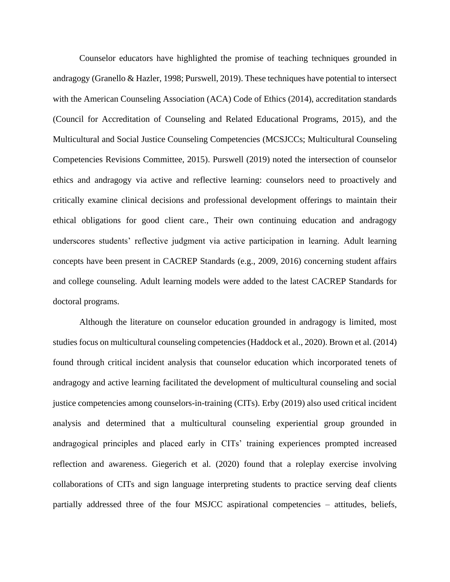Counselor educators have highlighted the promise of teaching techniques grounded in andragogy (Granello & Hazler, 1998; Purswell, 2019). These techniques have potential to intersect with the American Counseling Association (ACA) Code of Ethics (2014), accreditation standards (Council for Accreditation of Counseling and Related Educational Programs, 2015), and the Multicultural and Social Justice Counseling Competencies (MCSJCCs; Multicultural Counseling Competencies Revisions Committee, 2015). Purswell (2019) noted the intersection of counselor ethics and andragogy via active and reflective learning: counselors need to proactively and critically examine clinical decisions and professional development offerings to maintain their ethical obligations for good client care., Their own continuing education and andragogy underscores students' reflective judgment via active participation in learning. Adult learning concepts have been present in CACREP Standards (e.g., 2009, 2016) concerning student affairs and college counseling. Adult learning models were added to the latest CACREP Standards for doctoral programs.

Although the literature on counselor education grounded in andragogy is limited, most studies focus on multicultural counseling competencies (Haddock et al., 2020). Brown et al. (2014) found through critical incident analysis that counselor education which incorporated tenets of andragogy and active learning facilitated the development of multicultural counseling and social justice competencies among counselors-in-training (CITs). Erby (2019) also used critical incident analysis and determined that a multicultural counseling experiential group grounded in andragogical principles and placed early in CITs' training experiences prompted increased reflection and awareness. Giegerich et al. (2020) found that a roleplay exercise involving collaborations of CITs and sign language interpreting students to practice serving deaf clients partially addressed three of the four MSJCC aspirational competencies – attitudes, beliefs,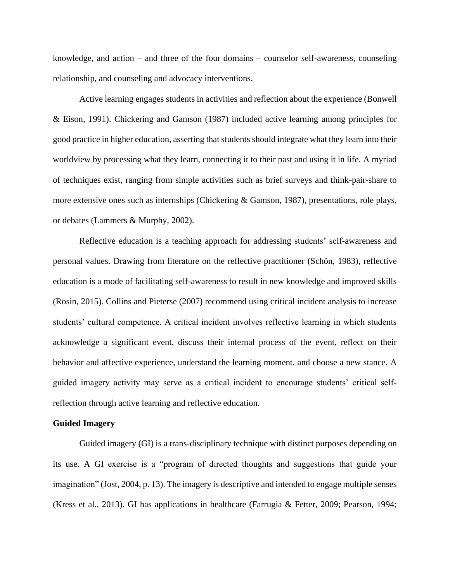knowledge, and action  $-$  and three of the four domains  $-$  counselor self-awareness, counseling relationship, and counseling and advocacy interventions.

Active learning engages students in activities and reflection about the experience (Bonwell & Eison, 1991). Chickering and Gamson (1987) included active learning among principles for good practice in higher education, asserting that students should integrate what they learn into their worldview by processing what they learn, connecting it to their past and using it in life. A myriad of techniques exist, ranging from simple activities such as brief surveys and think-pair-share to more extensive ones such as internships (Chickering & Gamson, 1987), presentations, role plays, or debates (Lammers & Murphy, 2002).

Reflective education is a teaching approach for addressing students' self-awareness and personal values. Drawing from literature on the reflective practitioner (Schön, 1983), reflective education is a mode of facilitating self-awareness to result in new knowledge and improved skills (Rosin, 2015). Collins and Pieterse (2007) recommend using critical incident analysis to increase students' cultural competence. A critical incident involves reflective learning in which students acknowledge a significant event, discuss their internal process of the event, reflect on their behavior and affective experience, understand the learning moment, and choose a new stance. A guided imagery activity may serve as a critical incident to encourage students' critical selfreflection through active learning and reflective education.

#### **Guided Imagery**

Guided imagery (GI) is a trans-disciplinary technique with distinct purposes depending on its use. A GI exercise is a "program of directed thoughts and suggestions that guide your imagination" (Jost, 2004, p. 13). The imagery is descriptive and intended to engage multiple senses (Kress et al., 2013). GI has applications in healthcare (Farrugia & Fetter, 2009; Pearson, 1994;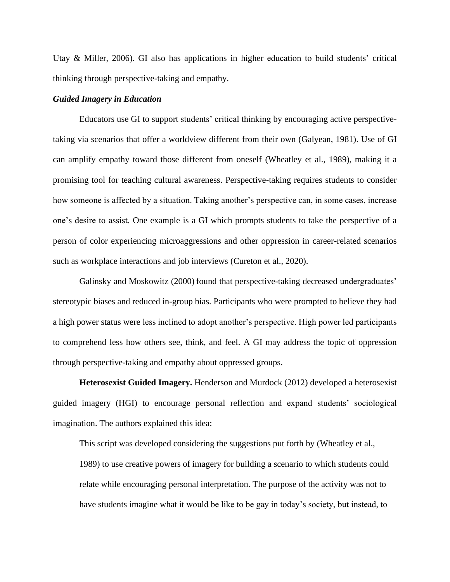Utay & Miller, 2006). GI also has applications in higher education to build students' critical thinking through perspective-taking and empathy.

#### *Guided Imagery in Education*

Educators use GI to support students' critical thinking by encouraging active perspectivetaking via scenarios that offer a worldview different from their own (Galyean, 1981). Use of GI can amplify empathy toward those different from oneself (Wheatley et al., 1989), making it a promising tool for teaching cultural awareness. Perspective-taking requires students to consider how someone is affected by a situation. Taking another's perspective can, in some cases, increase one's desire to assist. One example is a GI which prompts students to take the perspective of a person of color experiencing microaggressions and other oppression in career-related scenarios such as workplace interactions and job interviews (Cureton et al., 2020).

Galinsky and Moskowitz (2000) found that perspective-taking decreased undergraduates' stereotypic biases and reduced in-group bias. Participants who were prompted to believe they had a high power status were less inclined to adopt another's perspective. High power led participants to comprehend less how others see, think, and feel. A GI may address the topic of oppression through perspective-taking and empathy about oppressed groups.

**Heterosexist Guided Imagery.** Henderson and Murdock (2012) developed a heterosexist guided imagery (HGI) to encourage personal reflection and expand students' sociological imagination. The authors explained this idea:

This script was developed considering the suggestions put forth by (Wheatley et al., 1989) to use creative powers of imagery for building a scenario to which students could relate while encouraging personal interpretation. The purpose of the activity was not to have students imagine what it would be like to be gay in today's society, but instead, to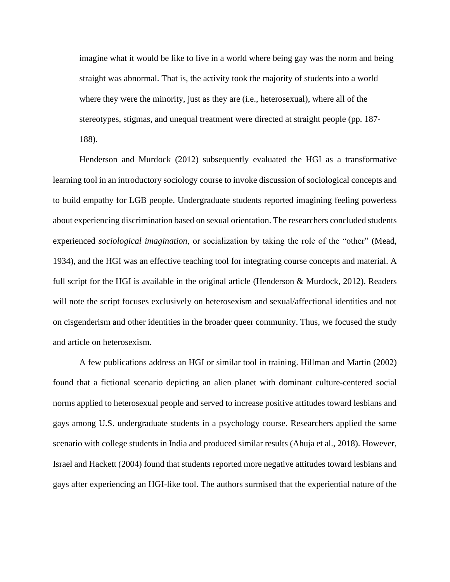imagine what it would be like to live in a world where being gay was the norm and being straight was abnormal. That is, the activity took the majority of students into a world where they were the minority, just as they are (i.e., heterosexual), where all of the stereotypes, stigmas, and unequal treatment were directed at straight people (pp. 187- 188).

Henderson and Murdock (2012) subsequently evaluated the HGI as a transformative learning tool in an introductory sociology course to invoke discussion of sociological concepts and to build empathy for LGB people. Undergraduate students reported imagining feeling powerless about experiencing discrimination based on sexual orientation. The researchers concluded students experienced *sociological imagination*, or socialization by taking the role of the "other" (Mead, 1934), and the HGI was an effective teaching tool for integrating course concepts and material. A full script for the HGI is available in the original article (Henderson  $\&$  Murdock, 2012). Readers will note the script focuses exclusively on heterosexism and sexual/affectional identities and not on cisgenderism and other identities in the broader queer community. Thus, we focused the study and article on heterosexism.

A few publications address an HGI or similar tool in training. Hillman and Martin (2002) found that a fictional scenario depicting an alien planet with dominant culture-centered social norms applied to heterosexual people and served to increase positive attitudes toward lesbians and gays among U.S. undergraduate students in a psychology course. Researchers applied the same scenario with college students in India and produced similar results (Ahuja et al., 2018). However, Israel and Hackett (2004) found that students reported more negative attitudes toward lesbians and gays after experiencing an HGI-like tool. The authors surmised that the experiential nature of the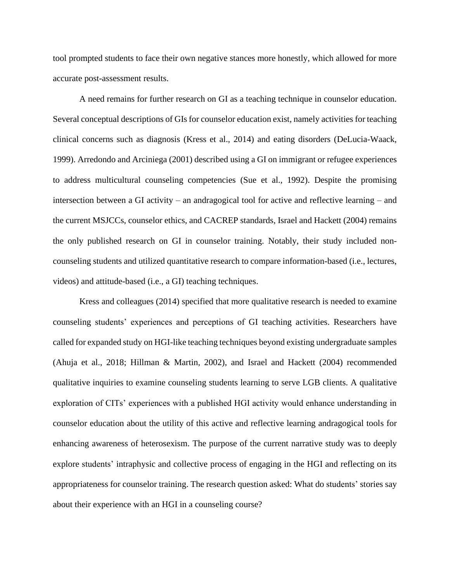tool prompted students to face their own negative stances more honestly, which allowed for more accurate post-assessment results.

A need remains for further research on GI as a teaching technique in counselor education. Several conceptual descriptions of GIs for counselor education exist, namely activities for teaching clinical concerns such as diagnosis (Kress et al., 2014) and eating disorders (DeLucia-Waack, 1999). Arredondo and Arciniega (2001) described using a GI on immigrant or refugee experiences to address multicultural counseling competencies (Sue et al., 1992). Despite the promising intersection between a GI activity – an andragogical tool for active and reflective learning – and the current MSJCCs, counselor ethics, and CACREP standards, Israel and Hackett (2004) remains the only published research on GI in counselor training. Notably, their study included noncounseling students and utilized quantitative research to compare information-based (i.e., lectures, videos) and attitude-based (i.e., a GI) teaching techniques.

Kress and colleagues (2014) specified that more qualitative research is needed to examine counseling students' experiences and perceptions of GI teaching activities. Researchers have called for expanded study on HGI-like teaching techniques beyond existing undergraduate samples (Ahuja et al., 2018; Hillman & Martin, 2002), and Israel and Hackett (2004) recommended qualitative inquiries to examine counseling students learning to serve LGB clients. A qualitative exploration of CITs' experiences with a published HGI activity would enhance understanding in counselor education about the utility of this active and reflective learning andragogical tools for enhancing awareness of heterosexism. The purpose of the current narrative study was to deeply explore students' intraphysic and collective process of engaging in the HGI and reflecting on its appropriateness for counselor training. The research question asked: What do students' stories say about their experience with an HGI in a counseling course?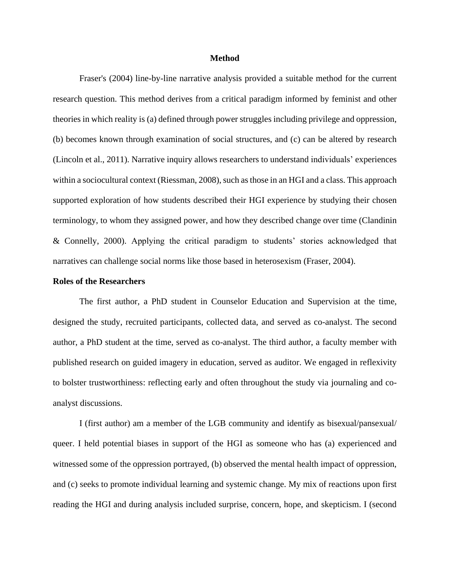#### **Method**

Fraser's (2004) line-by-line narrative analysis provided a suitable method for the current research question. This method derives from a critical paradigm informed by feminist and other theories in which reality is (a) defined through power struggles including privilege and oppression, (b) becomes known through examination of social structures, and (c) can be altered by research (Lincoln et al., 2011). Narrative inquiry allows researchers to understand individuals' experiences within a sociocultural context (Riessman, 2008), such as those in an HGI and a class. This approach supported exploration of how students described their HGI experience by studying their chosen terminology, to whom they assigned power, and how they described change over time (Clandinin & Connelly, 2000). Applying the critical paradigm to students' stories acknowledged that narratives can challenge social norms like those based in heterosexism (Fraser, 2004).

#### **Roles of the Researchers**

The first author, a PhD student in Counselor Education and Supervision at the time, designed the study, recruited participants, collected data, and served as co-analyst. The second author, a PhD student at the time, served as co-analyst. The third author, a faculty member with published research on guided imagery in education, served as auditor. We engaged in reflexivity to bolster trustworthiness: reflecting early and often throughout the study via journaling and coanalyst discussions.

I (first author) am a member of the LGB community and identify as bisexual/pansexual/ queer. I held potential biases in support of the HGI as someone who has (a) experienced and witnessed some of the oppression portrayed, (b) observed the mental health impact of oppression, and (c) seeks to promote individual learning and systemic change. My mix of reactions upon first reading the HGI and during analysis included surprise, concern, hope, and skepticism. I (second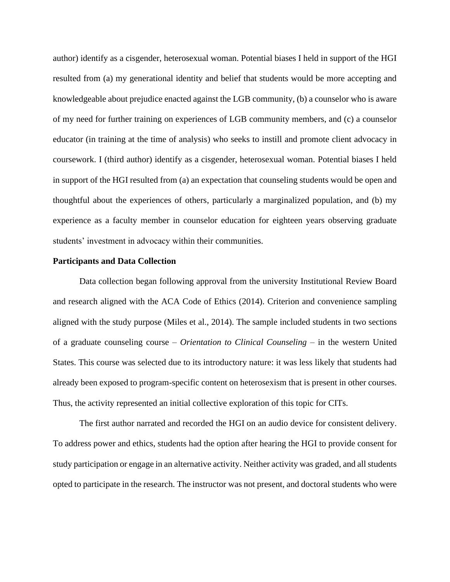author) identify as a cisgender, heterosexual woman. Potential biases I held in support of the HGI resulted from (a) my generational identity and belief that students would be more accepting and knowledgeable about prejudice enacted against the LGB community, (b) a counselor who is aware of my need for further training on experiences of LGB community members, and (c) a counselor educator (in training at the time of analysis) who seeks to instill and promote client advocacy in coursework. I (third author) identify as a cisgender, heterosexual woman. Potential biases I held in support of the HGI resulted from (a) an expectation that counseling students would be open and thoughtful about the experiences of others, particularly a marginalized population, and (b) my experience as a faculty member in counselor education for eighteen years observing graduate students' investment in advocacy within their communities.

#### **Participants and Data Collection**

Data collection began following approval from the university Institutional Review Board and research aligned with the ACA Code of Ethics (2014). Criterion and convenience sampling aligned with the study purpose (Miles et al., 2014). The sample included students in two sections of a graduate counseling course – *Orientation to Clinical Counseling* – in the western United States. This course was selected due to its introductory nature: it was less likely that students had already been exposed to program-specific content on heterosexism that is present in other courses. Thus, the activity represented an initial collective exploration of this topic for CITs.

The first author narrated and recorded the HGI on an audio device for consistent delivery. To address power and ethics, students had the option after hearing the HGI to provide consent for study participation or engage in an alternative activity. Neither activity was graded, and all students opted to participate in the research. The instructor was not present, and doctoral students who were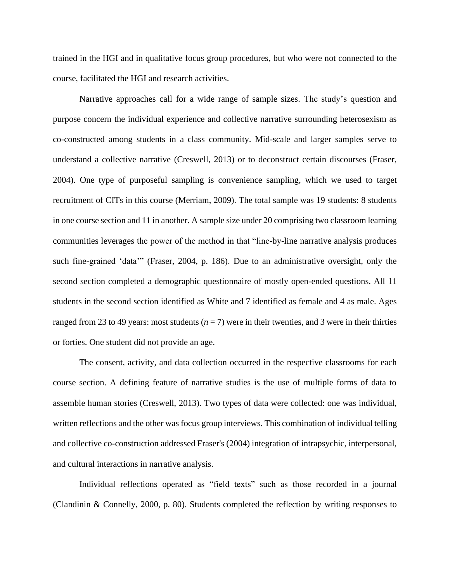trained in the HGI and in qualitative focus group procedures, but who were not connected to the course, facilitated the HGI and research activities.

Narrative approaches call for a wide range of sample sizes. The study's question and purpose concern the individual experience and collective narrative surrounding heterosexism as co-constructed among students in a class community. Mid-scale and larger samples serve to understand a collective narrative (Creswell, 2013) or to deconstruct certain discourses (Fraser, 2004). One type of purposeful sampling is convenience sampling, which we used to target recruitment of CITs in this course (Merriam, 2009). The total sample was 19 students: 8 students in one course section and 11 in another. A sample size under 20 comprising two classroom learning communities leverages the power of the method in that "line-by-line narrative analysis produces such fine-grained 'data'" (Fraser, 2004, p. 186). Due to an administrative oversight, only the second section completed a demographic questionnaire of mostly open-ended questions. All 11 students in the second section identified as White and 7 identified as female and 4 as male. Ages ranged from 23 to 49 years: most students (*n* = 7) were in their twenties, and 3 were in their thirties or forties. One student did not provide an age.

The consent, activity, and data collection occurred in the respective classrooms for each course section. A defining feature of narrative studies is the use of multiple forms of data to assemble human stories (Creswell, 2013). Two types of data were collected: one was individual, written reflections and the other was focus group interviews. This combination of individual telling and collective co-construction addressed Fraser's (2004) integration of intrapsychic, interpersonal, and cultural interactions in narrative analysis.

Individual reflections operated as "field texts" such as those recorded in a journal (Clandinin & Connelly, 2000, p. 80). Students completed the reflection by writing responses to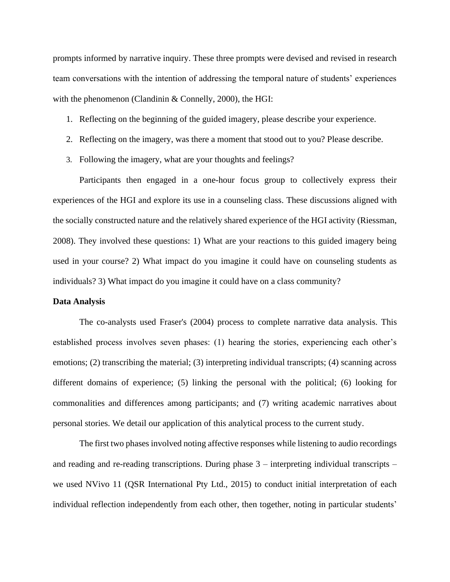prompts informed by narrative inquiry. These three prompts were devised and revised in research team conversations with the intention of addressing the temporal nature of students' experiences with the phenomenon (Clandinin & Connelly, 2000), the HGI:

- 1. Reflecting on the beginning of the guided imagery, please describe your experience.
- 2. Reflecting on the imagery, was there a moment that stood out to you? Please describe.
- 3. Following the imagery, what are your thoughts and feelings?

Participants then engaged in a one-hour focus group to collectively express their experiences of the HGI and explore its use in a counseling class. These discussions aligned with the socially constructed nature and the relatively shared experience of the HGI activity (Riessman, 2008). They involved these questions: 1) What are your reactions to this guided imagery being used in your course? 2) What impact do you imagine it could have on counseling students as individuals? 3) What impact do you imagine it could have on a class community?

#### **Data Analysis**

The co-analysts used Fraser's (2004) process to complete narrative data analysis. This established process involves seven phases: (1) hearing the stories, experiencing each other's emotions; (2) transcribing the material; (3) interpreting individual transcripts; (4) scanning across different domains of experience; (5) linking the personal with the political; (6) looking for commonalities and differences among participants; and (7) writing academic narratives about personal stories. We detail our application of this analytical process to the current study.

The first two phases involved noting affective responses while listening to audio recordings and reading and re-reading transcriptions. During phase  $3$  – interpreting individual transcripts – we used NVivo 11 (QSR International Pty Ltd., 2015) to conduct initial interpretation of each individual reflection independently from each other, then together, noting in particular students'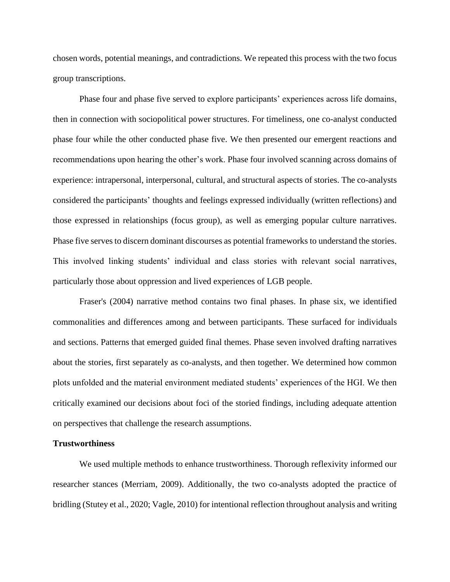chosen words, potential meanings, and contradictions. We repeated this process with the two focus group transcriptions.

Phase four and phase five served to explore participants' experiences across life domains, then in connection with sociopolitical power structures. For timeliness, one co-analyst conducted phase four while the other conducted phase five. We then presented our emergent reactions and recommendations upon hearing the other's work. Phase four involved scanning across domains of experience: intrapersonal, interpersonal, cultural, and structural aspects of stories. The co-analysts considered the participants' thoughts and feelings expressed individually (written reflections) and those expressed in relationships (focus group), as well as emerging popular culture narratives. Phase five serves to discern dominant discourses as potential frameworks to understand the stories. This involved linking students' individual and class stories with relevant social narratives, particularly those about oppression and lived experiences of LGB people.

Fraser's (2004) narrative method contains two final phases. In phase six, we identified commonalities and differences among and between participants. These surfaced for individuals and sections. Patterns that emerged guided final themes. Phase seven involved drafting narratives about the stories, first separately as co-analysts, and then together. We determined how common plots unfolded and the material environment mediated students' experiences of the HGI. We then critically examined our decisions about foci of the storied findings, including adequate attention on perspectives that challenge the research assumptions.

#### **Trustworthiness**

We used multiple methods to enhance trustworthiness. Thorough reflexivity informed our researcher stances (Merriam, 2009). Additionally, the two co-analysts adopted the practice of bridling (Stutey et al., 2020; Vagle, 2010) for intentional reflection throughout analysis and writing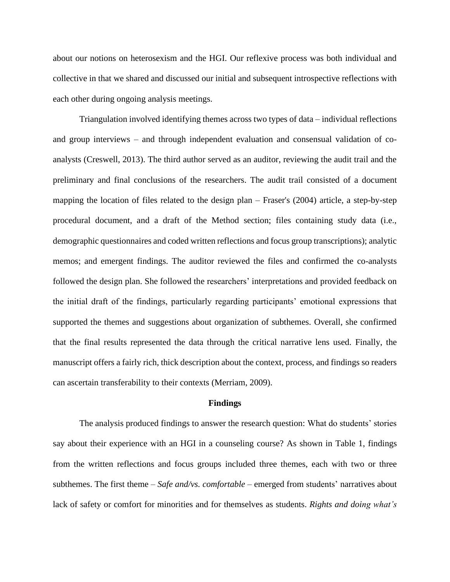about our notions on heterosexism and the HGI. Our reflexive process was both individual and collective in that we shared and discussed our initial and subsequent introspective reflections with each other during ongoing analysis meetings.

Triangulation involved identifying themes across two types of data – individual reflections and group interviews – and through independent evaluation and consensual validation of coanalysts (Creswell, 2013). The third author served as an auditor, reviewing the audit trail and the preliminary and final conclusions of the researchers. The audit trail consisted of a document mapping the location of files related to the design plan – Fraser's (2004) article, a step-by-step procedural document, and a draft of the Method section; files containing study data (i.e., demographic questionnaires and coded written reflections and focus group transcriptions); analytic memos; and emergent findings. The auditor reviewed the files and confirmed the co-analysts followed the design plan. She followed the researchers' interpretations and provided feedback on the initial draft of the findings, particularly regarding participants' emotional expressions that supported the themes and suggestions about organization of subthemes. Overall, she confirmed that the final results represented the data through the critical narrative lens used. Finally, the manuscript offers a fairly rich, thick description about the context, process, and findings so readers can ascertain transferability to their contexts (Merriam, 2009).

#### **Findings**

The analysis produced findings to answer the research question: What do students' stories say about their experience with an HGI in a counseling course? As shown in Table 1, findings from the written reflections and focus groups included three themes, each with two or three subthemes. The first theme – *Safe and/vs. comfortable* – emerged from students' narratives about lack of safety or comfort for minorities and for themselves as students. *Rights and doing what's*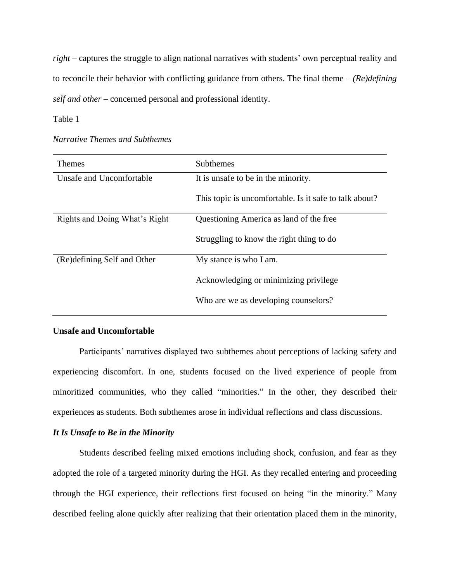*right* – captures the struggle to align national narratives with students' own perceptual reality and to reconcile their behavior with conflicting guidance from others. The final theme – *(Re)defining self and other* – concerned personal and professional identity.

Table 1

| <b>Themes</b>                 | <b>Subthemes</b>                                       |
|-------------------------------|--------------------------------------------------------|
| Unsafe and Uncomfortable      | It is unsafe to be in the minority.                    |
|                               | This topic is uncomfortable. Is it safe to talk about? |
| Rights and Doing What's Right | Questioning America as land of the free                |
|                               | Struggling to know the right thing to do               |
| (Re)defining Self and Other   | My stance is who I am.                                 |
|                               | Acknowledging or minimizing privilege                  |
|                               | Who are we as developing counselors?                   |

*Narrative Themes and Subthemes*

#### **Unsafe and Uncomfortable**

Participants' narratives displayed two subthemes about perceptions of lacking safety and experiencing discomfort. In one, students focused on the lived experience of people from minoritized communities, who they called "minorities." In the other, they described their experiences as students. Both subthemes arose in individual reflections and class discussions.

# *It Is Unsafe to Be in the Minority*

Students described feeling mixed emotions including shock, confusion, and fear as they adopted the role of a targeted minority during the HGI. As they recalled entering and proceeding through the HGI experience, their reflections first focused on being "in the minority." Many described feeling alone quickly after realizing that their orientation placed them in the minority,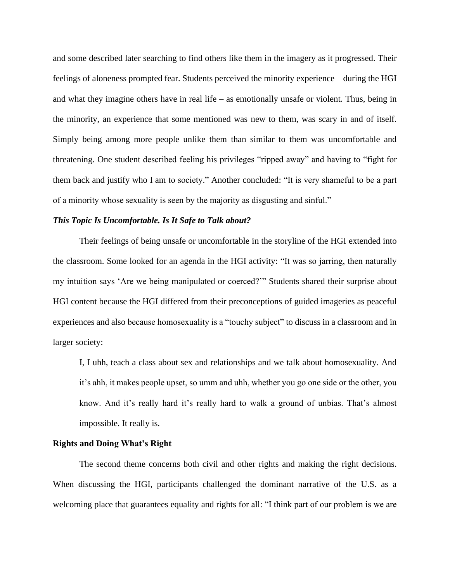and some described later searching to find others like them in the imagery as it progressed. Their feelings of aloneness prompted fear. Students perceived the minority experience – during the HGI and what they imagine others have in real life – as emotionally unsafe or violent. Thus, being in the minority, an experience that some mentioned was new to them, was scary in and of itself. Simply being among more people unlike them than similar to them was uncomfortable and threatening. One student described feeling his privileges "ripped away" and having to "fight for them back and justify who I am to society." Another concluded: "It is very shameful to be a part of a minority whose sexuality is seen by the majority as disgusting and sinful."

#### *This Topic Is Uncomfortable. Is It Safe to Talk about?*

Their feelings of being unsafe or uncomfortable in the storyline of the HGI extended into the classroom. Some looked for an agenda in the HGI activity: "It was so jarring, then naturally my intuition says 'Are we being manipulated or coerced?'" Students shared their surprise about HGI content because the HGI differed from their preconceptions of guided imageries as peaceful experiences and also because homosexuality is a "touchy subject" to discuss in a classroom and in larger society:

I, I uhh, teach a class about sex and relationships and we talk about homosexuality. And it's ahh, it makes people upset, so umm and uhh, whether you go one side or the other, you know. And it's really hard it's really hard to walk a ground of unbias. That's almost impossible. It really is.

#### **Rights and Doing What's Right**

The second theme concerns both civil and other rights and making the right decisions. When discussing the HGI, participants challenged the dominant narrative of the U.S. as a welcoming place that guarantees equality and rights for all: "I think part of our problem is we are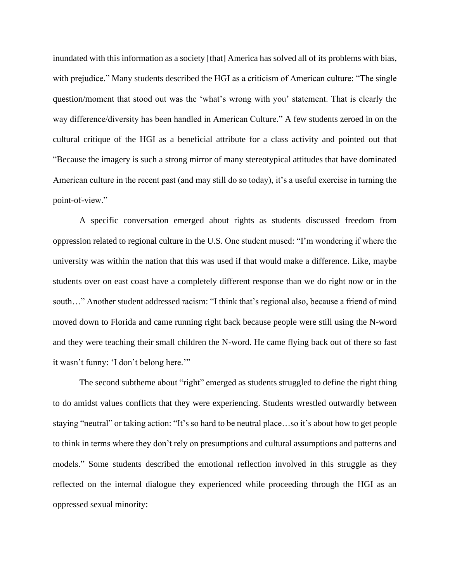inundated with this information as a society [that] America has solved all of its problems with bias, with prejudice." Many students described the HGI as a criticism of American culture: "The single question/moment that stood out was the 'what's wrong with you' statement. That is clearly the way difference/diversity has been handled in American Culture." A few students zeroed in on the cultural critique of the HGI as a beneficial attribute for a class activity and pointed out that "Because the imagery is such a strong mirror of many stereotypical attitudes that have dominated American culture in the recent past (and may still do so today), it's a useful exercise in turning the point-of-view."

A specific conversation emerged about rights as students discussed freedom from oppression related to regional culture in the U.S. One student mused: "I'm wondering if where the university was within the nation that this was used if that would make a difference. Like, maybe students over on east coast have a completely different response than we do right now or in the south…" Another student addressed racism: "I think that's regional also, because a friend of mind moved down to Florida and came running right back because people were still using the N-word and they were teaching their small children the N-word. He came flying back out of there so fast it wasn't funny: 'I don't belong here.'"

The second subtheme about "right" emerged as students struggled to define the right thing to do amidst values conflicts that they were experiencing. Students wrestled outwardly between staying "neutral" or taking action: "It's so hard to be neutral place…so it's about how to get people to think in terms where they don't rely on presumptions and cultural assumptions and patterns and models." Some students described the emotional reflection involved in this struggle as they reflected on the internal dialogue they experienced while proceeding through the HGI as an oppressed sexual minority: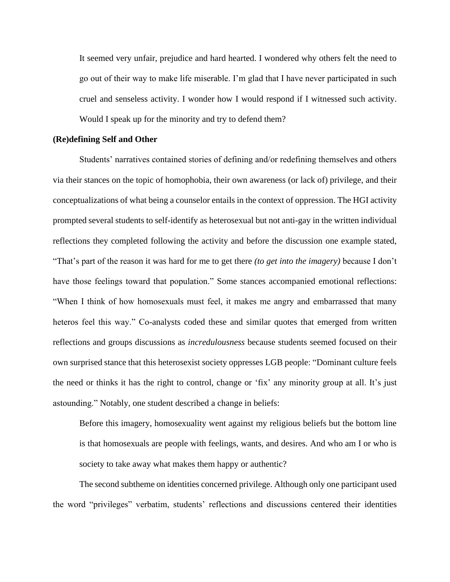It seemed very unfair, prejudice and hard hearted. I wondered why others felt the need to go out of their way to make life miserable. I'm glad that I have never participated in such cruel and senseless activity. I wonder how I would respond if I witnessed such activity. Would I speak up for the minority and try to defend them?

#### **(Re)defining Self and Other**

Students' narratives contained stories of defining and/or redefining themselves and others via their stances on the topic of homophobia, their own awareness (or lack of) privilege, and their conceptualizations of what being a counselor entails in the context of oppression. The HGI activity prompted several students to self-identify as heterosexual but not anti-gay in the written individual reflections they completed following the activity and before the discussion one example stated, "That's part of the reason it was hard for me to get there *(to get into the imagery)* because I don't have those feelings toward that population." Some stances accompanied emotional reflections: "When I think of how homosexuals must feel, it makes me angry and embarrassed that many heteros feel this way." Co-analysts coded these and similar quotes that emerged from written reflections and groups discussions as *incredulousness* because students seemed focused on their own surprised stance that this heterosexist society oppresses LGB people: "Dominant culture feels the need or thinks it has the right to control, change or 'fix' any minority group at all. It's just astounding." Notably, one student described a change in beliefs:

Before this imagery, homosexuality went against my religious beliefs but the bottom line is that homosexuals are people with feelings, wants, and desires. And who am I or who is society to take away what makes them happy or authentic?

The second subtheme on identities concerned privilege. Although only one participant used the word "privileges" verbatim, students' reflections and discussions centered their identities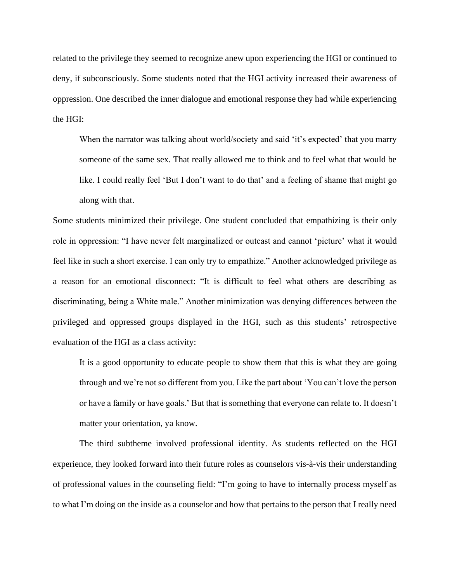related to the privilege they seemed to recognize anew upon experiencing the HGI or continued to deny, if subconsciously. Some students noted that the HGI activity increased their awareness of oppression. One described the inner dialogue and emotional response they had while experiencing the HGI:

When the narrator was talking about world/society and said 'it's expected' that you marry someone of the same sex. That really allowed me to think and to feel what that would be like. I could really feel 'But I don't want to do that' and a feeling of shame that might go along with that.

Some students minimized their privilege. One student concluded that empathizing is their only role in oppression: "I have never felt marginalized or outcast and cannot 'picture' what it would feel like in such a short exercise. I can only try to empathize." Another acknowledged privilege as a reason for an emotional disconnect: "It is difficult to feel what others are describing as discriminating, being a White male." Another minimization was denying differences between the privileged and oppressed groups displayed in the HGI, such as this students' retrospective evaluation of the HGI as a class activity:

It is a good opportunity to educate people to show them that this is what they are going through and we're not so different from you. Like the part about 'You can't love the person or have a family or have goals.' But that is something that everyone can relate to. It doesn't matter your orientation, ya know.

The third subtheme involved professional identity. As students reflected on the HGI experience, they looked forward into their future roles as counselors vis-à-vis their understanding of professional values in the counseling field: "I'm going to have to internally process myself as to what I'm doing on the inside as a counselor and how that pertains to the person that I really need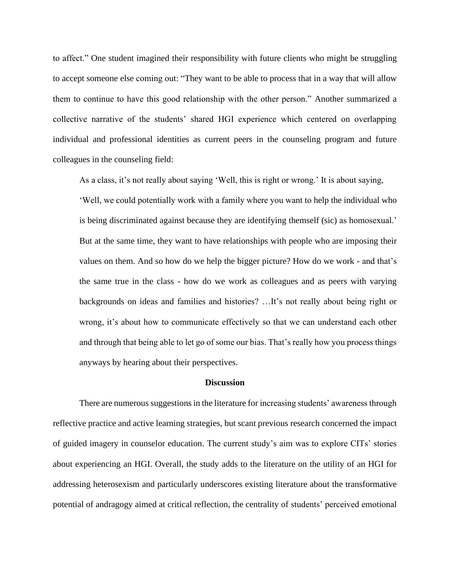to affect." One student imagined their responsibility with future clients who might be struggling to accept someone else coming out: "They want to be able to process that in a way that will allow them to continue to have this good relationship with the other person." Another summarized a collective narrative of the students' shared HGI experience which centered on overlapping individual and professional identities as current peers in the counseling program and future colleagues in the counseling field:

As a class, it's not really about saying 'Well, this is right or wrong.' It is about saying,

'Well, we could potentially work with a family where you want to help the individual who is being discriminated against because they are identifying themself (sic) as homosexual.' But at the same time, they want to have relationships with people who are imposing their values on them. And so how do we help the bigger picture? How do we work - and that's the same true in the class - how do we work as colleagues and as peers with varying backgrounds on ideas and families and histories? …It's not really about being right or wrong, it's about how to communicate effectively so that we can understand each other and through that being able to let go of some our bias. That's really how you process things anyways by hearing about their perspectives.

#### **Discussion**

There are numerous suggestions in the literature for increasing students' awareness through reflective practice and active learning strategies, but scant previous research concerned the impact of guided imagery in counselor education. The current study's aim was to explore CITs' stories about experiencing an HGI. Overall, the study adds to the literature on the utility of an HGI for addressing heterosexism and particularly underscores existing literature about the transformative potential of andragogy aimed at critical reflection, the centrality of students' perceived emotional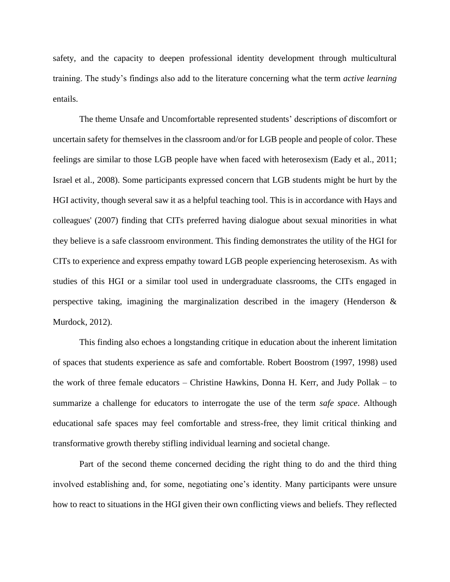safety, and the capacity to deepen professional identity development through multicultural training. The study's findings also add to the literature concerning what the term *active learning* entails.

The theme Unsafe and Uncomfortable represented students' descriptions of discomfort or uncertain safety for themselves in the classroom and/or for LGB people and people of color. These feelings are similar to those LGB people have when faced with heterosexism (Eady et al., 2011; Israel et al., 2008). Some participants expressed concern that LGB students might be hurt by the HGI activity, though several saw it as a helpful teaching tool. This is in accordance with Hays and colleagues' (2007) finding that CITs preferred having dialogue about sexual minorities in what they believe is a safe classroom environment. This finding demonstrates the utility of the HGI for CITs to experience and express empathy toward LGB people experiencing heterosexism. As with studies of this HGI or a similar tool used in undergraduate classrooms, the CITs engaged in perspective taking, imagining the marginalization described in the imagery (Henderson & Murdock, 2012).

This finding also echoes a longstanding critique in education about the inherent limitation of spaces that students experience as safe and comfortable. Robert Boostrom (1997, 1998) used the work of three female educators – Christine Hawkins, Donna H. Kerr, and Judy Pollak – to summarize a challenge for educators to interrogate the use of the term *safe space*. Although educational safe spaces may feel comfortable and stress-free, they limit critical thinking and transformative growth thereby stifling individual learning and societal change.

Part of the second theme concerned deciding the right thing to do and the third thing involved establishing and, for some, negotiating one's identity. Many participants were unsure how to react to situations in the HGI given their own conflicting views and beliefs. They reflected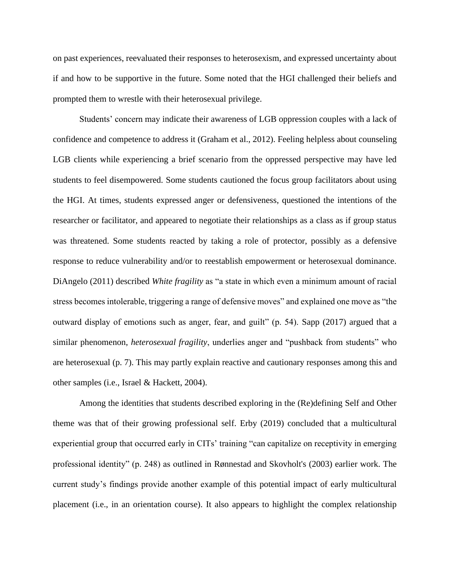on past experiences, reevaluated their responses to heterosexism, and expressed uncertainty about if and how to be supportive in the future. Some noted that the HGI challenged their beliefs and prompted them to wrestle with their heterosexual privilege.

Students' concern may indicate their awareness of LGB oppression couples with a lack of confidence and competence to address it (Graham et al., 2012). Feeling helpless about counseling LGB clients while experiencing a brief scenario from the oppressed perspective may have led students to feel disempowered. Some students cautioned the focus group facilitators about using the HGI. At times, students expressed anger or defensiveness, questioned the intentions of the researcher or facilitator, and appeared to negotiate their relationships as a class as if group status was threatened. Some students reacted by taking a role of protector, possibly as a defensive response to reduce vulnerability and/or to reestablish empowerment or heterosexual dominance. DiAngelo (2011) described *White fragility* as "a state in which even a minimum amount of racial stress becomes intolerable, triggering a range of defensive moves" and explained one move as "the outward display of emotions such as anger, fear, and guilt" (p. 54). Sapp (2017) argued that a similar phenomenon, *heterosexual fragility*, underlies anger and "pushback from students" who are heterosexual (p. 7). This may partly explain reactive and cautionary responses among this and other samples (i.e., Israel & Hackett, 2004).

Among the identities that students described exploring in the (Re)defining Self and Other theme was that of their growing professional self. Erby (2019) concluded that a multicultural experiential group that occurred early in CITs' training "can capitalize on receptivity in emerging professional identity" (p. 248) as outlined in Rønnestad and Skovholt's (2003) earlier work. The current study's findings provide another example of this potential impact of early multicultural placement (i.e., in an orientation course). It also appears to highlight the complex relationship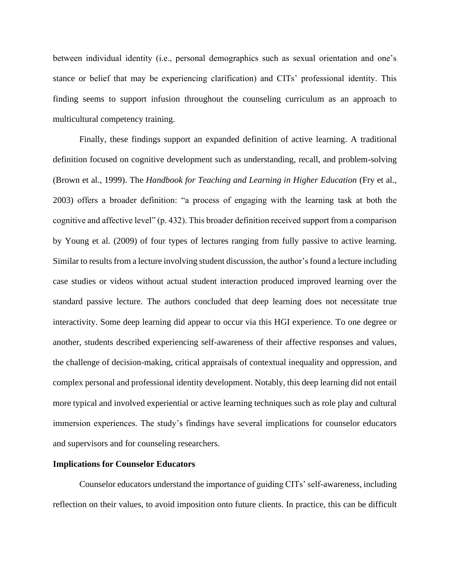between individual identity (i.e., personal demographics such as sexual orientation and one's stance or belief that may be experiencing clarification) and CITs' professional identity. This finding seems to support infusion throughout the counseling curriculum as an approach to multicultural competency training.

Finally, these findings support an expanded definition of active learning. A traditional definition focused on cognitive development such as understanding, recall, and problem-solving (Brown et al., 1999). The *Handbook for Teaching and Learning in Higher Education* (Fry et al., 2003) offers a broader definition: "a process of engaging with the learning task at both the cognitive and affective level" (p. 432). This broader definition received support from a comparison by Young et al. (2009) of four types of lectures ranging from fully passive to active learning. Similar to results from a lecture involving student discussion, the author's found a lecture including case studies or videos without actual student interaction produced improved learning over the standard passive lecture. The authors concluded that deep learning does not necessitate true interactivity. Some deep learning did appear to occur via this HGI experience. To one degree or another, students described experiencing self-awareness of their affective responses and values, the challenge of decision-making, critical appraisals of contextual inequality and oppression, and complex personal and professional identity development. Notably, this deep learning did not entail more typical and involved experiential or active learning techniques such as role play and cultural immersion experiences. The study's findings have several implications for counselor educators and supervisors and for counseling researchers.

#### **Implications for Counselor Educators**

Counselor educators understand the importance of guiding CITs' self-awareness, including reflection on their values, to avoid imposition onto future clients. In practice, this can be difficult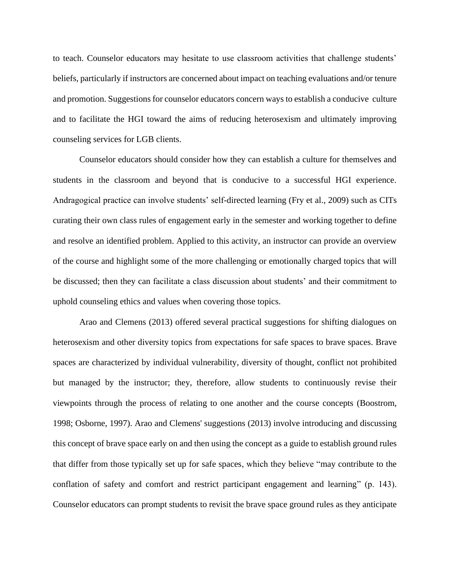to teach. Counselor educators may hesitate to use classroom activities that challenge students' beliefs, particularly if instructors are concerned about impact on teaching evaluations and/or tenure and promotion. Suggestions for counselor educators concern ways to establish a conducive culture and to facilitate the HGI toward the aims of reducing heterosexism and ultimately improving counseling services for LGB clients.

Counselor educators should consider how they can establish a culture for themselves and students in the classroom and beyond that is conducive to a successful HGI experience. Andragogical practice can involve students' self-directed learning (Fry et al., 2009) such as CITs curating their own class rules of engagement early in the semester and working together to define and resolve an identified problem. Applied to this activity, an instructor can provide an overview of the course and highlight some of the more challenging or emotionally charged topics that will be discussed; then they can facilitate a class discussion about students' and their commitment to uphold counseling ethics and values when covering those topics.

Arao and Clemens (2013) offered several practical suggestions for shifting dialogues on heterosexism and other diversity topics from expectations for safe spaces to brave spaces. Brave spaces are characterized by individual vulnerability, diversity of thought, conflict not prohibited but managed by the instructor; they, therefore, allow students to continuously revise their viewpoints through the process of relating to one another and the course concepts (Boostrom, 1998; Osborne, 1997). Arao and Clemens' suggestions (2013) involve introducing and discussing this concept of brave space early on and then using the concept as a guide to establish ground rules that differ from those typically set up for safe spaces, which they believe "may contribute to the conflation of safety and comfort and restrict participant engagement and learning" (p. 143). Counselor educators can prompt students to revisit the brave space ground rules as they anticipate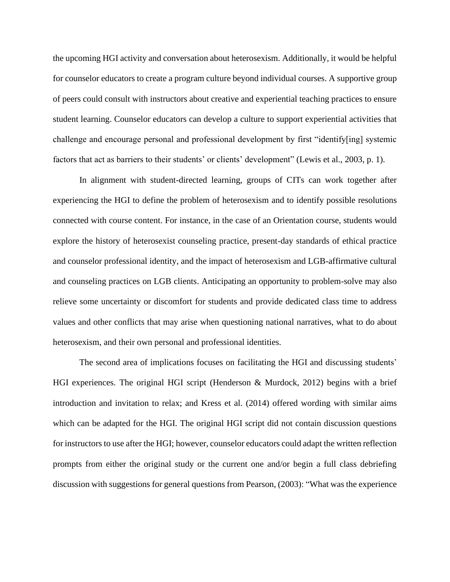the upcoming HGI activity and conversation about heterosexism. Additionally, it would be helpful for counselor educators to create a program culture beyond individual courses. A supportive group of peers could consult with instructors about creative and experiential teaching practices to ensure student learning. Counselor educators can develop a culture to support experiential activities that challenge and encourage personal and professional development by first "identify[ing] systemic factors that act as barriers to their students' or clients' development" (Lewis et al., 2003, p. 1).

In alignment with student-directed learning, groups of CITs can work together after experiencing the HGI to define the problem of heterosexism and to identify possible resolutions connected with course content. For instance, in the case of an Orientation course, students would explore the history of heterosexist counseling practice, present-day standards of ethical practice and counselor professional identity, and the impact of heterosexism and LGB-affirmative cultural and counseling practices on LGB clients. Anticipating an opportunity to problem-solve may also relieve some uncertainty or discomfort for students and provide dedicated class time to address values and other conflicts that may arise when questioning national narratives, what to do about heterosexism, and their own personal and professional identities.

The second area of implications focuses on facilitating the HGI and discussing students' HGI experiences. The original HGI script (Henderson & Murdock, 2012) begins with a brief introduction and invitation to relax; and Kress et al. (2014) offered wording with similar aims which can be adapted for the HGI. The original HGI script did not contain discussion questions for instructors to use after the HGI; however, counselor educators could adapt the written reflection prompts from either the original study or the current one and/or begin a full class debriefing discussion with suggestions for general questions from Pearson, (2003): "What was the experience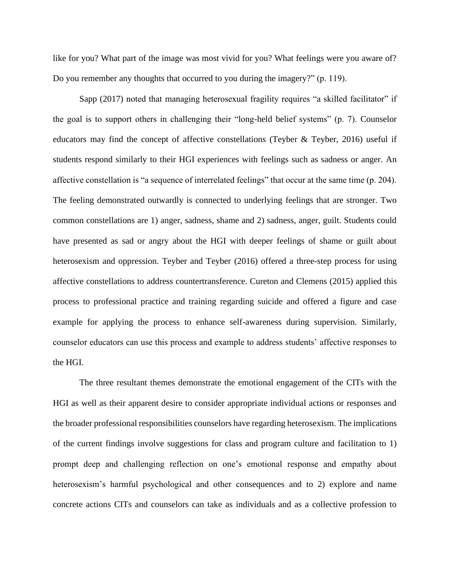like for you? What part of the image was most vivid for you? What feelings were you aware of? Do you remember any thoughts that occurred to you during the imagery?" (p. 119).

Sapp (2017) noted that managing heterosexual fragility requires "a skilled facilitator" if the goal is to support others in challenging their "long-held belief systems" (p. 7). Counselor educators may find the concept of affective constellations (Teyber & Teyber, 2016) useful if students respond similarly to their HGI experiences with feelings such as sadness or anger. An affective constellation is "a sequence of interrelated feelings" that occur at the same time (p. 204). The feeling demonstrated outwardly is connected to underlying feelings that are stronger. Two common constellations are 1) anger, sadness, shame and 2) sadness, anger, guilt. Students could have presented as sad or angry about the HGI with deeper feelings of shame or guilt about heterosexism and oppression. Teyber and Teyber (2016) offered a three-step process for using affective constellations to address countertransference. Cureton and Clemens (2015) applied this process to professional practice and training regarding suicide and offered a figure and case example for applying the process to enhance self-awareness during supervision. Similarly, counselor educators can use this process and example to address students' affective responses to the HGI.

The three resultant themes demonstrate the emotional engagement of the CITs with the HGI as well as their apparent desire to consider appropriate individual actions or responses and the broader professional responsibilities counselors have regarding heterosexism. The implications of the current findings involve suggestions for class and program culture and facilitation to 1) prompt deep and challenging reflection on one's emotional response and empathy about heterosexism's harmful psychological and other consequences and to 2) explore and name concrete actions CITs and counselors can take as individuals and as a collective profession to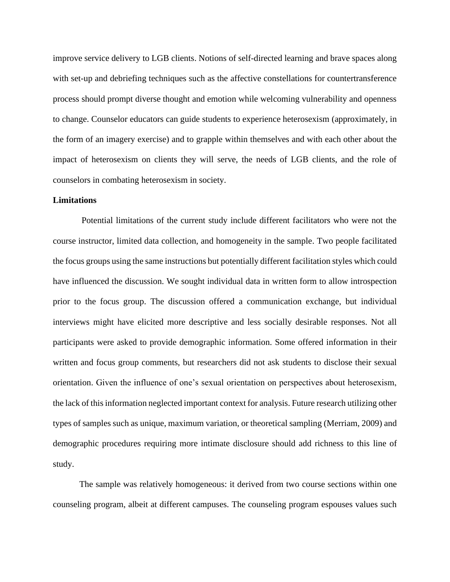improve service delivery to LGB clients. Notions of self-directed learning and brave spaces along with set-up and debriefing techniques such as the affective constellations for countertransference process should prompt diverse thought and emotion while welcoming vulnerability and openness to change. Counselor educators can guide students to experience heterosexism (approximately, in the form of an imagery exercise) and to grapple within themselves and with each other about the impact of heterosexism on clients they will serve, the needs of LGB clients, and the role of counselors in combating heterosexism in society.

#### **Limitations**

Potential limitations of the current study include different facilitators who were not the course instructor, limited data collection, and homogeneity in the sample. Two people facilitated the focus groups using the same instructions but potentially different facilitation styles which could have influenced the discussion. We sought individual data in written form to allow introspection prior to the focus group. The discussion offered a communication exchange, but individual interviews might have elicited more descriptive and less socially desirable responses. Not all participants were asked to provide demographic information. Some offered information in their written and focus group comments, but researchers did not ask students to disclose their sexual orientation. Given the influence of one's sexual orientation on perspectives about heterosexism, the lack of this information neglected important context for analysis. Future research utilizing other types of samples such as unique, maximum variation, or theoretical sampling (Merriam, 2009) and demographic procedures requiring more intimate disclosure should add richness to this line of study.

The sample was relatively homogeneous: it derived from two course sections within one counseling program, albeit at different campuses. The counseling program espouses values such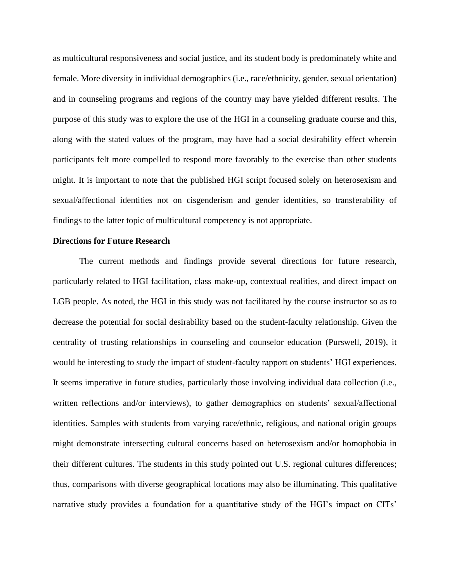as multicultural responsiveness and social justice, and its student body is predominately white and female. More diversity in individual demographics (i.e., race/ethnicity, gender, sexual orientation) and in counseling programs and regions of the country may have yielded different results. The purpose of this study was to explore the use of the HGI in a counseling graduate course and this, along with the stated values of the program, may have had a social desirability effect wherein participants felt more compelled to respond more favorably to the exercise than other students might. It is important to note that the published HGI script focused solely on heterosexism and sexual/affectional identities not on cisgenderism and gender identities, so transferability of findings to the latter topic of multicultural competency is not appropriate.

#### **Directions for Future Research**

The current methods and findings provide several directions for future research, particularly related to HGI facilitation, class make-up, contextual realities, and direct impact on LGB people. As noted, the HGI in this study was not facilitated by the course instructor so as to decrease the potential for social desirability based on the student-faculty relationship. Given the centrality of trusting relationships in counseling and counselor education (Purswell, 2019), it would be interesting to study the impact of student-faculty rapport on students' HGI experiences. It seems imperative in future studies, particularly those involving individual data collection (i.e., written reflections and/or interviews), to gather demographics on students' sexual/affectional identities. Samples with students from varying race/ethnic, religious, and national origin groups might demonstrate intersecting cultural concerns based on heterosexism and/or homophobia in their different cultures. The students in this study pointed out U.S. regional cultures differences; thus, comparisons with diverse geographical locations may also be illuminating. This qualitative narrative study provides a foundation for a quantitative study of the HGI's impact on CITs'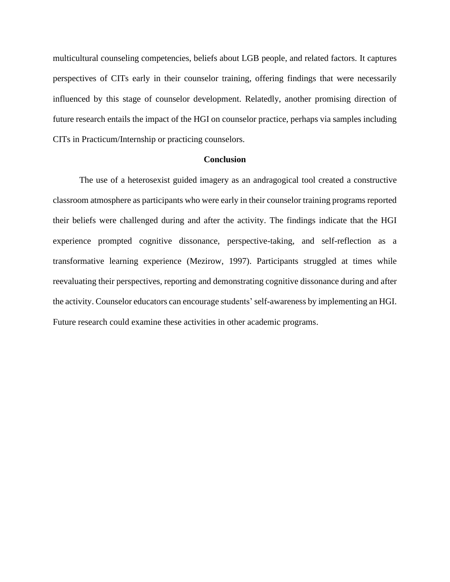multicultural counseling competencies, beliefs about LGB people, and related factors. It captures perspectives of CITs early in their counselor training, offering findings that were necessarily influenced by this stage of counselor development. Relatedly, another promising direction of future research entails the impact of the HGI on counselor practice, perhaps via samples including CITs in Practicum/Internship or practicing counselors.

#### **Conclusion**

The use of a heterosexist guided imagery as an andragogical tool created a constructive classroom atmosphere as participants who were early in their counselor training programs reported their beliefs were challenged during and after the activity. The findings indicate that the HGI experience prompted cognitive dissonance, perspective-taking, and self-reflection as a transformative learning experience (Mezirow, 1997). Participants struggled at times while reevaluating their perspectives, reporting and demonstrating cognitive dissonance during and after the activity. Counselor educators can encourage students'self-awareness by implementing an HGI. Future research could examine these activities in other academic programs.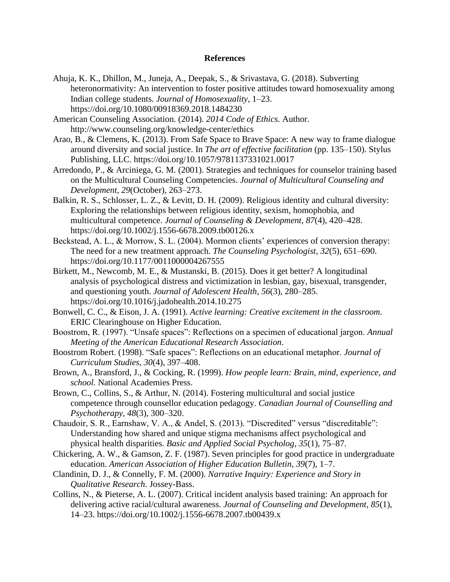#### **References**

- Ahuja, K. K., Dhillon, M., Juneja, A., Deepak, S., & Srivastava, G. (2018). Subverting heteronormativity: An intervention to foster positive attitudes toward homosexuality among Indian college students. *Journal of Homosexuality*, 1–23. https://doi.org/10.1080/00918369.2018.1484230
- American Counseling Association. (2014). *2014 Code of Ethics*. Author. http://www.counseling.org/knowledge-center/ethics
- Arao, B., & Clemens, K. (2013). From Safe Space to Brave Space: A new way to frame dialogue around diversity and social justice. In *The art of effective facilitation* (pp. 135–150). Stylus Publishing, LLC. https://doi.org/10.1057/9781137331021.0017
- Arredondo, P., & Arciniega, G. M. (2001). Strategies and techniques for counselor training based on the Multicultural Counseling Competencies. *Journal of Multicultural Counseling and Development*, *29*(October), 263–273.
- Balkin, R. S., Schlosser, L. Z., & Levitt, D. H. (2009). Religious identity and cultural diversity: Exploring the relationships between religious identity, sexism, homophobia, and multicultural competence. *Journal of Counseling & Development*, *87*(4), 420–428. https://doi.org/10.1002/j.1556-6678.2009.tb00126.x
- Beckstead, A. L., & Morrow, S. L. (2004). Mormon clients' experiences of conversion therapy: The need for a new treatment approach. *The Counseling Psychologist*, *32*(5), 651–690. https://doi.org/10.1177/0011000004267555
- Birkett, M., Newcomb, M. E., & Mustanski, B. (2015). Does it get better? A longitudinal analysis of psychological distress and victimization in lesbian, gay, bisexual, transgender, and questioning youth. *Journal of Adolescent Health*, *56*(3), 280–285. https://doi.org/10.1016/j.jadohealth.2014.10.275
- Bonwell, C. C., & Eison, J. A. (1991). *Active learning: Creative excitement in the classroom.* ERIC Clearinghouse on Higher Education.
- Boostrom, R. (1997). "Unsafe spaces": Reflections on a specimen of educational jargon. *Annual Meeting of the American Educational Research Association*.
- Boostrom Robert. (1998). "Safe spaces": Reflections on an educational metaphor. *Journal of Curriculum Studies*, *30*(4), 397–408.
- Brown, A., Bransford, J., & Cocking, R. (1999). *How people learn: Brain, mind, experience, and school.* National Academies Press.
- Brown, C., Collins, S., & Arthur, N. (2014). Fostering multicultural and social justice competence through counsellor education pedagogy. *Canadian Journal of Counselling and Psychotherapy*, *48*(3), 300–320.
- Chaudoir, S. R., Earnshaw, V. A., & Andel, S. (2013). "Discredited" versus "discreditable": Understanding how shared and unique stigma mechanisms affect psychological and physical health disparities. *Basic and Applied Social Psycholog*, *35*(1), 75–87.
- Chickering, A. W., & Gamson, Z. F. (1987). Seven principles for good practice in undergraduate education. *American Association of Higher Education Bulletin*, *39*(7), 1–7.
- Clandinin, D. J., & Connelly, F. M. (2000). *Narrative Inquiry: Experience and Story in Qualitative Research*. Jossey-Bass.
- Collins, N., & Pieterse, A. L. (2007). Critical incident analysis based training: An approach for delivering active racial/cultural awareness. *Journal of Counseling and Development*, *85*(1), 14–23. https://doi.org/10.1002/j.1556-6678.2007.tb00439.x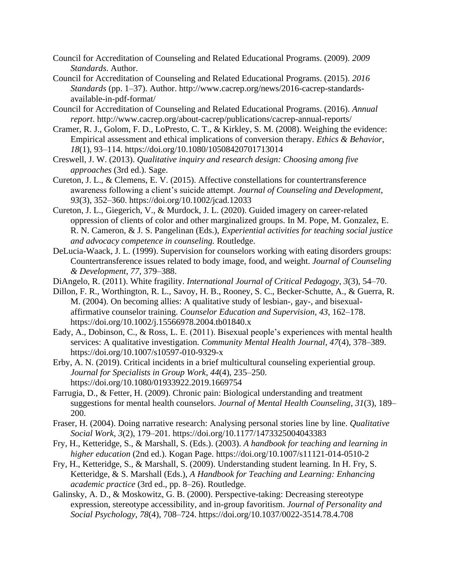- Council for Accreditation of Counseling and Related Educational Programs. (2009). *2009 Standards*. Author.
- Council for Accreditation of Counseling and Related Educational Programs. (2015). *2016 Standards* (pp. 1–37). Author. http://www.cacrep.org/news/2016-cacrep-standardsavailable-in-pdf-format/
- Council for Accreditation of Counseling and Related Educational Programs. (2016). *Annual report*. http://www.cacrep.org/about-cacrep/publications/cacrep-annual-reports/
- Cramer, R. J., Golom, F. D., LoPresto, C. T., & Kirkley, S. M. (2008). Weighing the evidence: Empirical assessment and ethical implications of conversion therapy. *Ethics & Behavior*, *18*(1), 93–114. https://doi.org/10.1080/10508420701713014
- Creswell, J. W. (2013). *Qualitative inquiry and research design: Choosing among five approaches* (3rd ed.). Sage.
- Cureton, J. L., & Clemens, E. V. (2015). Affective constellations for countertransference awareness following a client's suicide attempt. *Journal of Counseling and Development*, *93*(3), 352–360. https://doi.org/10.1002/jcad.12033
- Cureton, J. L., Giegerich, V., & Murdock, J. L. (2020). Guided imagery on career-related oppression of clients of color and other marginalized groups. In M. Pope, M. Gonzalez, E. R. N. Cameron, & J. S. Pangelinan (Eds.), *Experiential activities for teaching social justice and advocacy competence in counseling.* Routledge.
- DeLucia-Waack, J. L. (1999). Supervision for counselors working with eating disorders groups: Countertransference issues related to body image, food, and weight. *Journal of Counseling & Development*, *77*, 379–388.
- DiAngelo, R. (2011). White fragility. *International Journal of Critical Pedagogy*, *3*(3), 54–70.
- Dillon, F. R., Worthington, R. L., Savoy, H. B., Rooney, S. C., Becker-Schutte, A., & Guerra, R. M. (2004). On becoming allies: A qualitative study of lesbian-, gay-, and bisexualaffirmative counselor training. *Counselor Education and Supervision*, *43*, 162–178. https://doi.org/10.1002/j.15566978.2004.tb01840.x
- Eady, A., Dobinson, C., & Ross, L. E. (2011). Bisexual people's experiences with mental health services: A qualitative investigation. *Community Mental Health Journal*, *47*(4), 378–389. https://doi.org/10.1007/s10597-010-9329-x
- Erby, A. N. (2019). Critical incidents in a brief multicultural counseling experiential group. *Journal for Specialists in Group Work*, *44*(4), 235–250. https://doi.org/10.1080/01933922.2019.1669754
- Farrugia, D., & Fetter, H. (2009). Chronic pain: Biological understanding and treatment suggestions for mental health counselors. *Journal of Mental Health Counseling*, *31*(3), 189– 200.
- Fraser, H. (2004). Doing narrative research: Analysing personal stories line by line. *Qualitative Social Work*, *3*(2), 179–201. https://doi.org/10.1177/1473325004043383
- Fry, H., Ketteridge, S., & Marshall, S. (Eds.). (2003). *A handbook for teaching and learning in higher education* (2nd ed.). Kogan Page. https://doi.org/10.1007/s11121-014-0510-2
- Fry, H., Ketteridge, S., & Marshall, S. (2009). Understanding student learning. In H. Fry, S. Ketteridge, & S. Marshall (Eds.), *A Handbook for Teaching and Learning: Enhancing academic practice* (3rd ed., pp. 8–26). Routledge.
- Galinsky, A. D., & Moskowitz, G. B. (2000). Perspective-taking: Decreasing stereotype expression, stereotype accessibility, and in-group favoritism. *Journal of Personality and Social Psychology*, *78*(4), 708–724. https://doi.org/10.1037/0022-3514.78.4.708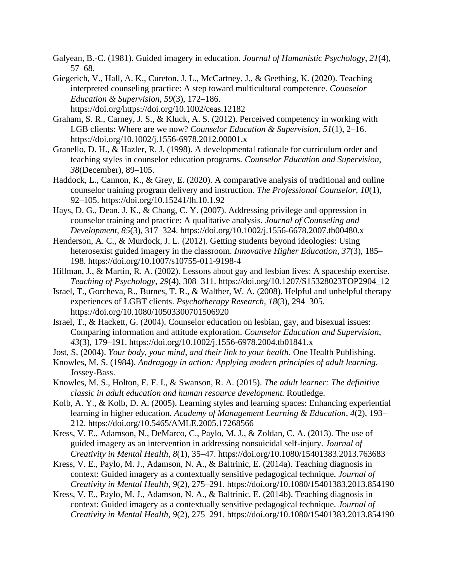- Galyean, B.-C. (1981). Guided imagery in education. *Journal of Humanistic Psychology*, *21*(4), 57–68.
- Giegerich, V., Hall, A. K., Cureton, J. L., McCartney, J., & Geething, K. (2020). Teaching interpreted counseling practice: A step toward multicultural competence. *Counselor Education & Supervision*, *59*(3), 172–186. https://doi.org/https://doi.org/10.1002/ceas.12182
- Graham, S. R., Carney, J. S., & Kluck, A. S. (2012). Perceived competency in working with LGB clients: Where are we now? *Counselor Education & Supervision*, *51*(1), 2–16. https://doi.org/10.1002/j.1556-6978.2012.00001.x
- Granello, D. H., & Hazler, R. J. (1998). A developmental rationale for curriculum order and teaching styles in counselor education programs. *Counselor Education and Supervision*, *38*(December), 89–105.
- Haddock, L., Cannon, K., & Grey, E. (2020). A comparative analysis of traditional and online counselor training program delivery and instruction. *The Professional Counselor*, *10*(1), 92–105. https://doi.org/10.15241/lh.10.1.92
- Hays, D. G., Dean, J. K., & Chang, C. Y. (2007). Addressing privilege and oppression in counselor training and practice: A qualitative analysis. *Journal of Counseling and Development*, *85*(3), 317–324. https://doi.org/10.1002/j.1556-6678.2007.tb00480.x
- Henderson, A. C., & Murdock, J. L. (2012). Getting students beyond ideologies: Using heterosexist guided imagery in the classroom. *Innovative Higher Education*, *37*(3), 185– 198. https://doi.org/10.1007/s10755-011-9198-4
- Hillman, J., & Martin, R. A. (2002). Lessons about gay and lesbian lives: A spaceship exercise. *Teaching of Psychology*, *29*(4), 308–311. https://doi.org/10.1207/S15328023TOP2904\_12
- Israel, T., Gorcheva, R., Burnes, T. R., & Walther, W. A. (2008). Helpful and unhelpful therapy experiences of LGBT clients. *Psychotherapy Research*, *18*(3), 294–305. https://doi.org/10.1080/10503300701506920
- Israel, T., & Hackett, G. (2004). Counselor education on lesbian, gay, and bisexual issues: Comparing information and attitude exploration. *Counselor Education and Supervision*, *43*(3), 179–191. https://doi.org/10.1002/j.1556-6978.2004.tb01841.x
- Jost, S. (2004). *Your body, your mind, and their link to your health*. One Health Publishing.
- Knowles, M. S. (1984). *Andragogy in action: Applying modern principles of adult learning.* Jossey-Bass.
- Knowles, M. S., Holton, E. F. I., & Swanson, R. A. (2015). *The adult learner: The definitive classic in adult education and human resource development.* Routledge.
- Kolb, A. Y., & Kolb, D. A. (2005). Learning styles and learning spaces: Enhancing experiential learning in higher education. *Academy of Management Learning & Education*, *4*(2), 193– 212. https://doi.org/10.5465/AMLE.2005.17268566
- Kress, V. E., Adamson, N., DeMarco, C., Paylo, M. J., & Zoldan, C. A. (2013). The use of guided imagery as an intervention in addressing nonsuicidal self-injury. *Journal of Creativity in Mental Health*, *8*(1), 35–47. https://doi.org/10.1080/15401383.2013.763683
- Kress, V. E., Paylo, M. J., Adamson, N. A., & Baltrinic, E. (2014a). Teaching diagnosis in context: Guided imagery as a contextually sensitive pedagogical technique. *Journal of Creativity in Mental Health*, *9*(2), 275–291. https://doi.org/10.1080/15401383.2013.854190
- Kress, V. E., Paylo, M. J., Adamson, N. A., & Baltrinic, E. (2014b). Teaching diagnosis in context: Guided imagery as a contextually sensitive pedagogical technique. *Journal of Creativity in Mental Health*, *9*(2), 275–291. https://doi.org/10.1080/15401383.2013.854190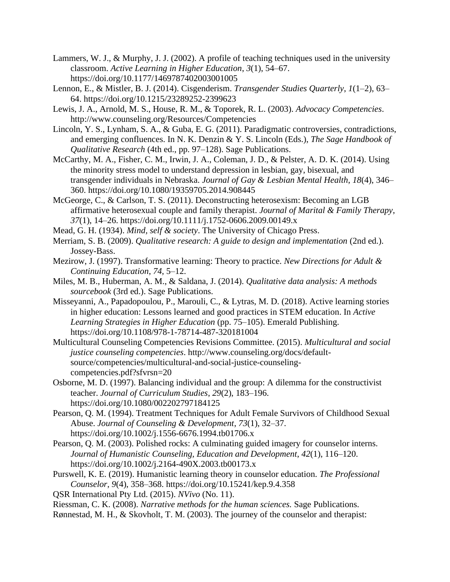- Lammers, W. J., & Murphy, J. J. (2002). A profile of teaching techniques used in the university classroom. *Active Learning in Higher Education*, *3*(1), 54–67. https://doi.org/10.1177/1469787402003001005
- Lennon, E., & Mistler, B. J. (2014). Cisgenderism. *Transgender Studies Quarterly*, *1*(1–2), 63– 64. https://doi.org/10.1215/23289252-2399623
- Lewis, J. A., Arnold, M. S., House, R. M., & Toporek, R. L. (2003). *Advocacy Competencies*. http://www.counseling.org/Resources/Competencies
- Lincoln, Y. S., Lynham, S. A., & Guba, E. G. (2011). Paradigmatic controversies, contradictions, and emerging confluences. In N. K. Denzin & Y. S. Lincoln (Eds.), *The Sage Handbook of Qualitative Research* (4th ed., pp. 97–128). Sage Publications.
- McCarthy, M. A., Fisher, C. M., Irwin, J. A., Coleman, J. D., & Pelster, A. D. K. (2014). Using the minority stress model to understand depression in lesbian, gay, bisexual, and transgender individuals in Nebraska. *Journal of Gay & Lesbian Mental Health*, *18*(4), 346– 360. https://doi.org/10.1080/19359705.2014.908445
- McGeorge, C., & Carlson, T. S. (2011). Deconstructing heterosexism: Becoming an LGB affirmative heterosexual couple and family therapist. *Journal of Marital & Family Therapy*, *37*(1), 14–26. https://doi.org/10.1111/j.1752-0606.2009.00149.x
- Mead, G. H. (1934). *Mind, self & society*. The University of Chicago Press.
- Merriam, S. B. (2009). *Qualitative research: A guide to design and implementation* (2nd ed.). Jossey-Bass.
- Mezirow, J. (1997). Transformative learning: Theory to practice. *New Directions for Adult & Continuing Education*, *74*, 5–12.
- Miles, M. B., Huberman, A. M., & Saldana, J. (2014). *Qualitative data analysis: A methods sourcebook* (3rd ed.). Sage Publications.
- Misseyanni, A., Papadopoulou, P., Marouli, C., & Lytras, M. D. (2018). Active learning stories in higher education: Lessons learned and good practices in STEM education. In *Active Learning Strategies in Higher Education* (pp. 75–105). Emerald Publishing. https://doi.org/10.1108/978-1-78714-487-320181004
- Multicultural Counseling Competencies Revisions Committee. (2015). *Multicultural and social justice counseling competencies*. http://www.counseling.org/docs/defaultsource/competencies/multicultural-and-social-justice-counselingcompetencies.pdf?sfvrsn=20
- Osborne, M. D. (1997). Balancing individual and the group: A dilemma for the constructivist teacher. *Journal of Curriculum Studies*, *29*(2), 183–196. https://doi.org/10.1080/002202797184125
- Pearson, Q. M. (1994). Treatment Techniques for Adult Female Survivors of Childhood Sexual Abuse. *Journal of Counseling & Development*, *73*(1), 32–37. https://doi.org/10.1002/j.1556-6676.1994.tb01706.x
- Pearson, Q. M. (2003). Polished rocks: A culminating guided imagery for counselor interns. *Journal of Humanistic Counseling, Education and Development*, *42*(1), 116–120. https://doi.org/10.1002/j.2164-490X.2003.tb00173.x
- Purswell, K. E. (2019). Humanistic learning theory in counselor education. *The Professional Counselor*, *9*(4), 358–368. https://doi.org/10.15241/kep.9.4.358
- QSR International Pty Ltd. (2015). *NVivo* (No. 11).
- Riessman, C. K. (2008). *Narrative methods for the human sciences.* Sage Publications.
- Rønnestad, M. H., & Skovholt, T. M. (2003). The journey of the counselor and therapist: